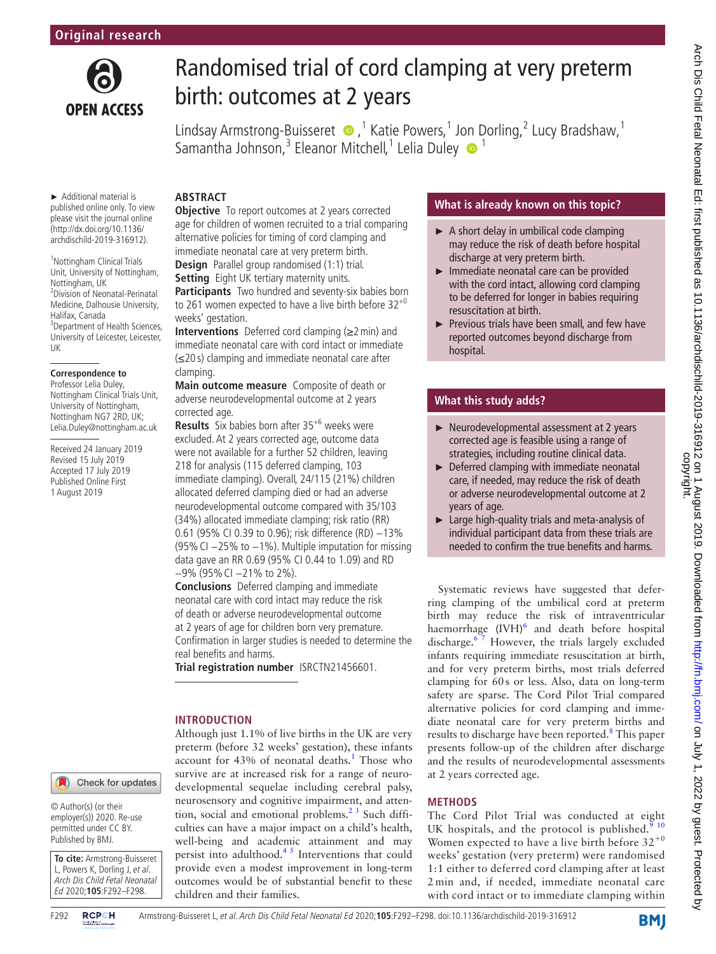

# Randomised trial of cord clamping at very preterm birth: outcomes at 2 years

LindsayArmstrong-Buisseret  $\bullet$ ,<sup>1</sup> Katie Powers,<sup>1</sup> J[on](http://orcid.org/0000-0001-6721-5178) Dorling,<sup>2</sup> Lucy Bradshaw,<sup>1</sup> Samantha Johnson,<sup>3</sup> Eleanor Mitchell,<sup>1</sup> Lelia Duley  $\bullet$ <sup>1</sup>

► Additional material is published online only. To view please visit the journal online (http://dx.doi.org/10.1136/ archdischild-2019-316912).

<sup>1</sup>Nottingham Clinical Trials Unit, University of Nottingham, Nottingham, UK 2 Division of Neonatal-Perinatal Medicine, Dalhousie University, Halifax, Canada <sup>3</sup>Department of Health Sciences, University of Leicester, Leicester, UK

### **Correspondence to**

Professor Lelia Duley, Nottingham Clinical Trials Unit, University of Nottingham, Nottingham NG7 2RD, UK; Lelia.Duley@nottingham.ac.uk

Received 24 January 2019 Revised 15 July 2019 Accepted 17 July 2019 Published Online First 1 August 2019

# **Abstract**

**Objective** To report outcomes at 2 years corrected age for children of women recruited to a trial comparing alternative policies for timing of cord clamping and immediate neonatal care at very preterm birth. **Design** Parallel group randomised (1:1) trial.

**Setting** Eight UK tertiary maternity units.

**Participants** Two hundred and seventy-six babies born to 261 women expected to have a live birth before  $32^{+0}$ weeks' gestation.

**Interventions** Deferred cord clamping (≥2min) and immediate neonatal care with cord intact or immediate (≤20 s) clamping and immediate neonatal care after clamping

**Main outcome measure** Composite of death or adverse neurodevelopmental outcome at 2 years corrected age.

**Results** Six babies born after 35+6 weeks were excluded. At 2 years corrected age, outcome data were not available for a further 52 children, leaving 218 for analysis (115 deferred clamping, 103 immediate clamping). Overall, 24/115 (21%) children allocated deferred clamping died or had an adverse neurodevelopmental outcome compared with 35/103 (34%) allocated immediate clamping; risk ratio (RR) 0.61 (95% CI 0.39 to 0.96); risk difference (RD) −13% (95%CI −25% to −1%). Multiple imputation for missing data gave an RR 0.69 (95% CI 0.44 to 1.09) and RD −9% (95%CI −21% to 2%).

**Conclusions** Deferred clamping and immediate neonatal care with cord intact may reduce the risk of death or adverse neurodevelopmental outcome at 2 years of age for children born very premature. Confirmation in larger studies is needed to determine the real benefits and harms.

Although just 1.1% of live births in the UK are very preterm (before 32 weeks' gestation), these infants account for 43% of neonatal deaths.<sup>[1](#page-5-0)</sup> Those who survive are at increased risk for a range of neurodevelopmental sequelae including cerebral palsy, neurosensory and cognitive impairment, and attention, social and emotional problems. $2<sup>3</sup>$  Such difficulties can have a major impact on a child's health, well-being and academic attainment and may persist into adulthood.<sup>45</sup> Interventions that could provide even a modest improvement in long-term outcomes would be of substantial benefit to these

**Trial registration number** <ISRCTN21456601>.

## **Introduction**

children and their families.

Check for updates

© Author(s) (or their employer(s)) 2020. Re-use permitted under CC BY. Published by BMJ.



#### F292 Armstrong-Buisseret L, et al. Arch Dis Child Fetal Neonatal Ed 2020;**105**:F292–F298. doi:10.1136/archdischild-2019-316912

# **What is already known on this topic?**

- $\blacktriangleright$  A short delay in umbilical code clamping may reduce the risk of death before hospital discharge at very preterm birth.
- ► Immediate neonatal care can be provided with the cord intact, allowing cord clamping to be deferred for longer in babies requiring resuscitation at birth.
- ► Previous trials have been small, and few have reported outcomes beyond discharge from hospital.

## **What this study adds?**

- ► Neurodevelopmental assessment at 2 years corrected age is feasible using a range of strategies, including routine clinical data.
- ► Deferred clamping with immediate neonatal care, if needed, may reduce the risk of death or adverse neurodevelopmental outcome at 2 years of age.
- ► Large high-quality trials and meta-analysis of individual participant data from these trials are needed to confirm the true benefits and harms.

Systematic reviews have suggested that deferring clamping of the umbilical cord at preterm birth may reduce the risk of intraventricular haemorrhage  $(IVH)^6$  $(IVH)^6$  and death before hospital discharge. $67$  However, the trials largely excluded infants requiring immediate resuscitation at birth, and for very preterm births, most trials deferred clamping for 60s or less. Also, data on long-term safety are sparse. The Cord Pilot Trial compared alternative policies for cord clamping and immediate neonatal care for very preterm births and results to discharge have been reported.<sup>[8](#page-5-4)</sup> This paper presents follow-up of the children after discharge and the results of neurodevelopmental assessments at 2 years corrected age.

## **Methods**

The Cord Pilot Trial was conducted at eight UK hospitals, and the protocol is published. $910$ Women expected to have a live birth before  $32^{+0}$ weeks' gestation (very preterm) were randomised 1:1 either to deferred cord clamping after at least 2 min and, if needed, immediate neonatal care with cord intact or to immediate clamping within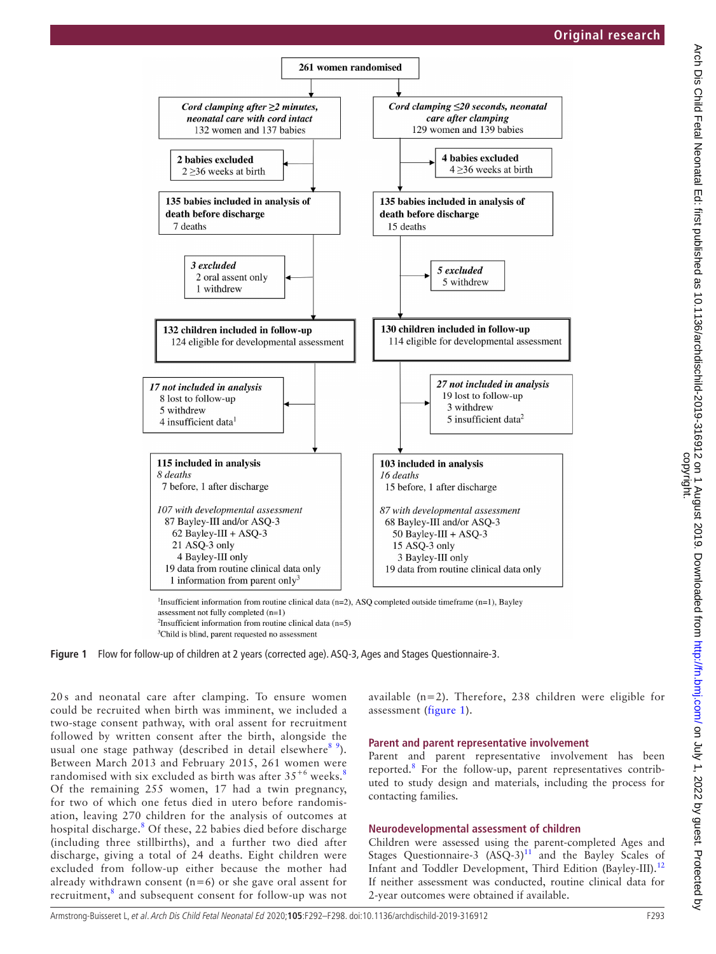

<span id="page-1-0"></span><sup>1</sup>Insufficient information from routine clinical data (n=2), ASQ completed outside timeframe (n=1), Bayley assessment not fully completed (n=1) <sup>2</sup>Insufficient information from routine clinical data  $(n=5)$ <sup>3</sup>Child is blind, parent requested no assessment



20 s and neonatal care after clamping. To ensure women could be recruited when birth was imminent, we included a two-stage consent pathway, with oral assent for recruitment followed by written consent after the birth, alongside the usual one stage pathway (described in detail elsewhere  $8^9$ ). Between March 2013 and February 2015, 261 women were randomised with six excluded as birth was after  $35^{+6}$  weeks.<sup>8</sup> Of the remaining 255 women, 17 had a twin pregnancy, for two of which one fetus died in utero before randomisation, leaving 270 children for the analysis of outcomes at hospital discharge.<sup>[8](#page-5-4)</sup> Of these, 22 babies died before discharge (including three stillbirths), and a further two died after discharge, giving a total of 24 deaths. Eight children were excluded from follow-up either because the mother had already withdrawn consent  $(n=6)$  or she gave oral assent for recruitment,<sup>[8](#page-5-4)</sup> and subsequent consent for follow-up was not available (n=2). Therefore, 238 children were eligible for assessment ([figure](#page-1-0) 1).

## **Parent and parent representative involvement**

Parent and parent representative involvement has been reported.<sup>[8](#page-5-4)</sup> For the follow-up, parent representatives contributed to study design and materials, including the process for contacting families.

#### **Neurodevelopmental assessment of children**

Children were assessed using the parent-completed Ages and Stages Questionnaire-3  $(ASQ-3)^{11}$  and the Bayley Scales of Infant and Toddler Development, Third Edition (Bayley-III).<sup>[12](#page-5-7)</sup> If neither assessment was conducted, routine clinical data for 2-year outcomes were obtained if available.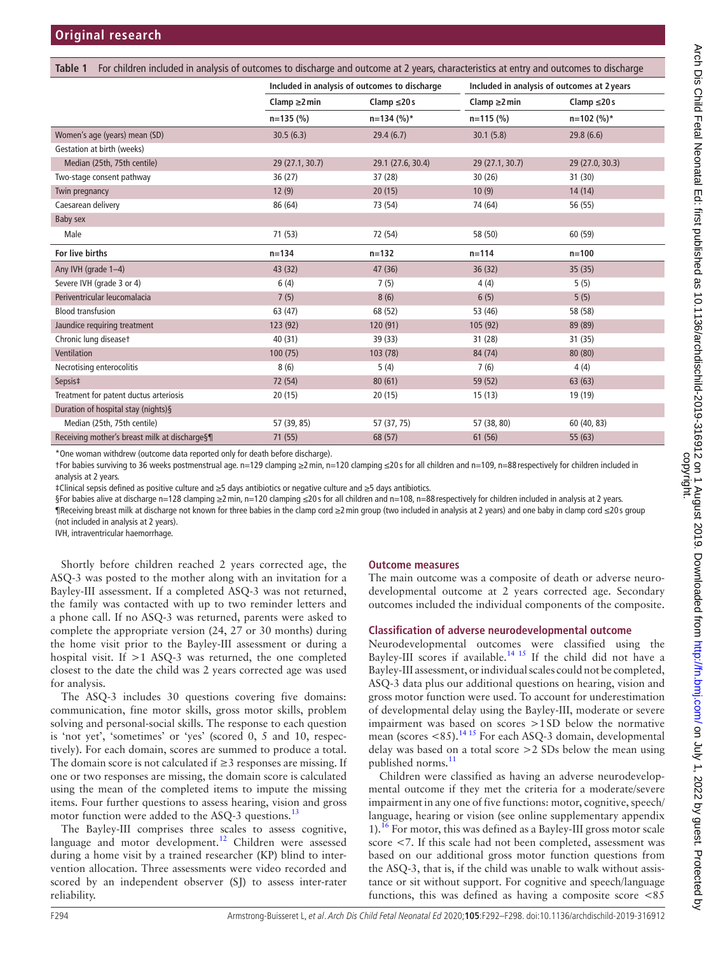<span id="page-2-0"></span>

| For children included in analysis of outcomes to discharge and outcome at 2 years, characteristics at entry and outcomes to discharge<br>Table 1 |                                               |                   |                                             |                  |  |
|--------------------------------------------------------------------------------------------------------------------------------------------------|-----------------------------------------------|-------------------|---------------------------------------------|------------------|--|
|                                                                                                                                                  | Included in analysis of outcomes to discharge |                   | Included in analysis of outcomes at 2 years |                  |  |
|                                                                                                                                                  | Clamp $\geq$ 2 min                            | Clamp $\leq$ 20 s | $Clamp \ge 2min$                            | Clamp $\leq$ 20s |  |
|                                                                                                                                                  | $n=135(%)$                                    | $n=134 (%)*$      | $n=115(%)$                                  | $n=102$ (%)*     |  |
| Women's age (years) mean (SD)                                                                                                                    | 30.5(6.3)                                     | 29.4(6.7)         | 30.1(5.8)                                   | 29.8(6.6)        |  |
| Gestation at birth (weeks)                                                                                                                       |                                               |                   |                                             |                  |  |
| Median (25th, 75th centile)                                                                                                                      | 29 (27.1, 30.7)                               | 29.1 (27.6, 30.4) | 29 (27.1, 30.7)                             | 29 (27.0, 30.3)  |  |
| Two-stage consent pathway                                                                                                                        | 36 (27)                                       | 37 (28)           | 30(26)                                      | 31(30)           |  |
| Twin pregnancy                                                                                                                                   | 12(9)                                         | 20(15)            | 10(9)                                       | 14(14)           |  |
| Caesarean delivery                                                                                                                               | 86 (64)                                       | 73 (54)           | 74 (64)                                     | 56 (55)          |  |
| <b>Baby sex</b>                                                                                                                                  |                                               |                   |                                             |                  |  |
| Male                                                                                                                                             | 71 (53)                                       | 72 (54)           | 58 (50)                                     | 60 (59)          |  |
| For live births                                                                                                                                  | $n = 134$                                     | $n = 132$         | $n = 114$                                   | $n = 100$        |  |
| Any IVH (grade 1-4)                                                                                                                              | 43 (32)                                       | 47 (36)           | 36(32)                                      | 35(35)           |  |
| Severe IVH (grade 3 or 4)                                                                                                                        | 6(4)                                          | 7(5)              | 4(4)                                        | 5(5)             |  |
| Periventricular leucomalacia                                                                                                                     | 7(5)                                          | 8(6)              | 6(5)                                        | 5(5)             |  |
| <b>Blood transfusion</b>                                                                                                                         | 63 (47)                                       | 68 (52)           | 53 (46)                                     | 58 (58)          |  |
| Jaundice requiring treatment                                                                                                                     | 123 (92)                                      | 120 (91)          | 105 (92)                                    | 89 (89)          |  |
| Chronic lung diseaset                                                                                                                            | 40 (31)                                       | 39 (33)           | 31(28)                                      | 31(35)           |  |
| Ventilation                                                                                                                                      | 100(75)                                       | 103 (78)          | 84 (74)                                     | 80 (80)          |  |
| Necrotising enterocolitis                                                                                                                        | 8(6)                                          | 5(4)              | 7(6)                                        | 4(4)             |  |
| Sepsis‡                                                                                                                                          | 72 (54)                                       | 80(61)            | 59 (52)                                     | 63(63)           |  |
| Treatment for patent ductus arteriosis                                                                                                           | 20(15)                                        | 20(15)            | 15(13)                                      | 19 (19)          |  |
| Duration of hospital stay (nights) §                                                                                                             |                                               |                   |                                             |                  |  |
| Median (25th, 75th centile)                                                                                                                      | 57 (39, 85)                                   | 57 (37, 75)       | 57 (38, 80)                                 | 60 (40, 83)      |  |
| Receiving mother's breast milk at discharge§¶                                                                                                    | 71 (55)                                       | 68 (57)           | 61 (56)                                     | 55 (63)          |  |

\*One woman withdrew (outcome data reported only for death before discharge).

†For babies surviving to 36 weeks postmenstrual age. n=129 clamping ≥2min, n=120 clamping ≤20 s for all children and n=109, n=88 respectively for children included in analysis at 2 years.

‡Clinical sepsis defined as positive culture and ≥5 days antibiotics or negative culture and ≥5 days antibiotics.

§For babies alive at discharge n=128 clamping ≥2 min, n=120 clamping ≤20s for all children and n=108, n=88 respectively for children included in analysis at 2 years. ¶Receiving breast milk at discharge not known for three babies in the clamp cord ≥2min group (two included in analysis at 2 years) and one baby in clamp cord ≤20 s group (not included in analysis at 2 years).

IVH, intraventricular haemorrhage.

Shortly before children reached 2 years corrected age, the ASQ-3 was posted to the mother along with an invitation for a Bayley-III assessment. If a completed ASQ-3 was not returned, the family was contacted with up to two reminder letters and a phone call. If no ASQ-3 was returned, parents were asked to complete the appropriate version (24, 27 or 30 months) during the home visit prior to the Bayley-III assessment or during a hospital visit. If >1 ASQ-3 was returned, the one completed closest to the date the child was 2 years corrected age was used for analysis.

The ASQ-3 includes 30 questions covering five domains: communication, fine motor skills, gross motor skills, problem solving and personal-social skills. The response to each question is 'not yet', 'sometimes' or 'yes' (scored 0, 5 and 10, respectively). For each domain, scores are summed to produce a total. The domain score is not calculated if  $\geq$ 3 responses are missing. If one or two responses are missing, the domain score is calculated using the mean of the completed items to impute the missing items. Four further questions to assess hearing, vision and gross motor function were added to the ASQ-3 questions.<sup>[13](#page-5-8)</sup>

The Bayley-III comprises three scales to assess cognitive, language and motor development.<sup>12</sup> Children were assessed during a home visit by a trained researcher (KP) blind to intervention allocation. Three assessments were video recorded and scored by an independent observer (SJ) to assess inter-rater reliability.

## **Outcome measures**

The main outcome was a composite of death or adverse neurodevelopmental outcome at 2 years corrected age. Secondary outcomes included the individual components of the composite.

## **Classification of adverse neurodevelopmental outcome**

Neurodevelopmental outcomes were classified using the Bayley-III scores if available.<sup>14 15</sup> If the child did not have a Bayley-III assessment, or individual scales could not be completed, ASQ-3 data plus our additional questions on hearing, vision and gross motor function were used. To account for underestimation of developmental delay using the Bayley-III, moderate or severe impairment was based on scores >1SD below the normative mean (scores  $<85$ ).<sup>14 15</sup> For each ASQ-3 domain, developmental delay was based on a total score >2 SDs below the mean using published norms.<sup>[11](#page-5-6)</sup>

Children were classified as having an adverse neurodevelopmental outcome if they met the criteria for a moderate/severe impairment in any one of five functions: motor, cognitive, speech/ language, hearing or vision (see online [supplementary appendix](https://dx.doi.org/10.1136/archdischild-2019-316912) [1\)](https://dx.doi.org/10.1136/archdischild-2019-316912)[.16](#page-5-10) For motor, this was defined as a Bayley-III gross motor scale score <7. If this scale had not been completed, assessment was based on our additional gross motor function questions from the ASQ-3, that is, if the child was unable to walk without assistance or sit without support. For cognitive and speech/language functions, this was defined as having a composite score <85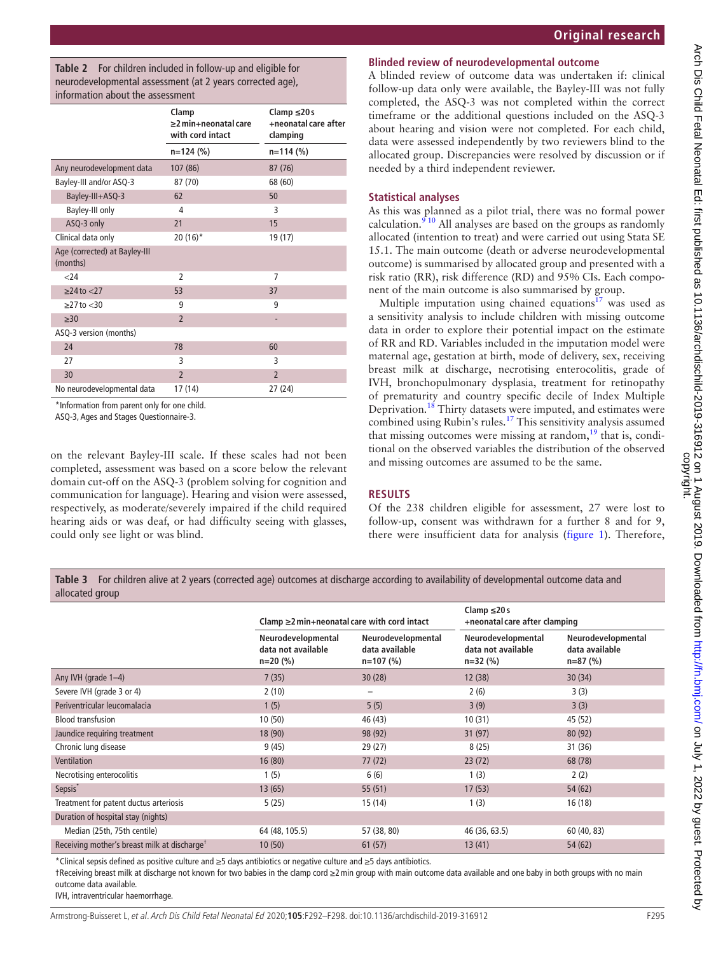<span id="page-3-0"></span>**Table 2** For children included in follow-up and eligible for neurodevelopmental assessment (at 2 years corrected age), information about the assessment

|                                           | Clamp<br>$\geq$ 2 min+neonatal care<br>with cord intact | Clamp $\leq$ 20s<br>+neonatal care after<br>clamping |  |  |  |
|-------------------------------------------|---------------------------------------------------------|------------------------------------------------------|--|--|--|
|                                           | $n=124$ (%)                                             | $n = 114$ (%)                                        |  |  |  |
| Any neurodevelopment data                 | 107 (86)                                                | 87 (76)                                              |  |  |  |
| Bayley-III and/or ASQ-3                   | 87 (70)                                                 | 68 (60)                                              |  |  |  |
| Bayley-III+ASQ-3                          | 62                                                      | 50                                                   |  |  |  |
| Bayley-III only                           | 4                                                       | 3                                                    |  |  |  |
| ASQ-3 only                                | 21                                                      | 15                                                   |  |  |  |
| Clinical data only                        | $20(16)*$                                               | 19 (17)                                              |  |  |  |
| Age (corrected) at Bayley-III<br>(months) |                                                         |                                                      |  |  |  |
| $<$ 24                                    | $\overline{2}$                                          | 7                                                    |  |  |  |
| $\geq$ 24 to $\lt$ 27                     | 53                                                      | 37                                                   |  |  |  |
| $\geq$ 27 to $<$ 30                       | 9                                                       | 9                                                    |  |  |  |
| $\geq 30$                                 | $\overline{2}$                                          |                                                      |  |  |  |
| ASQ-3 version (months)                    |                                                         |                                                      |  |  |  |
| 24                                        | 78                                                      | 60                                                   |  |  |  |
| 27                                        | 3                                                       | 3                                                    |  |  |  |
| 30                                        | $\overline{2}$                                          | $\overline{2}$                                       |  |  |  |
| No neurodevelopmental data                | 17 (14)                                                 | 27 (24)                                              |  |  |  |

\*Information from parent only for one child.

ASQ-3, Ages and Stages Questionnaire-3.

on the relevant Bayley-III scale. If these scales had not been completed, assessment was based on a score below the relevant domain cut-off on the ASQ-3 (problem solving for cognition and communication for language). Hearing and vision were assessed, respectively, as moderate/severely impaired if the child required hearing aids or was deaf, or had difficulty seeing with glasses, could only see light or was blind.

# **Blinded review of neurodevelopmental outcome**

A blinded review of outcome data was undertaken if: clinical follow-up data only were available, the Bayley-III was not fully completed, the ASQ-3 was not completed within the correct timeframe or the additional questions included on the ASQ-3 about hearing and vision were not completed. For each child, data were assessed independently by two reviewers blind to the allocated group. Discrepancies were resolved by discussion or if needed by a third independent reviewer.

# **Statistical analyses**

As this was planned as a pilot trial, there was no formal power calculation. $9^{10}$  All analyses are based on the groups as randomly allocated (intention to treat) and were carried out using Stata SE 15.1. The main outcome (death or adverse neurodevelopmental outcome) is summarised by allocated group and presented with a risk ratio (RR), risk difference (RD) and 95% CIs. Each component of the main outcome is also summarised by group.

Multiple imputation using chained equations $^{17}$  was used as a sensitivity analysis to include children with missing outcome data in order to explore their potential impact on the estimate of RR and RD. Variables included in the imputation model were maternal age, gestation at birth, mode of delivery, sex, receiving breast milk at discharge, necrotising enterocolitis, grade of IVH, bronchopulmonary dysplasia, treatment for retinopathy of prematurity and country specific decile of Index Multiple Deprivation.<sup>[18](#page-5-12)</sup> Thirty datasets were imputed, and estimates were combined using Rubin's rules[.17](#page-5-11) This sensitivity analysis assumed that missing outcomes were missing at random, $19$  that is, conditional on the observed variables the distribution of the observed and missing outcomes are assumed to be the same.

## **Results**

Of the 238 children eligible for assessment, 27 were lost to follow-up, consent was withdrawn for a further 8 and for 9, there were insufficient data for analysis ([figure](#page-1-0) 1). Therefore,

<span id="page-3-1"></span>**Table 3** For children alive at 2 years (corrected age) outcomes at discharge according to availability of developmental outcome data and allocated group

|                                                          | Clamp $\geq$ 2 min+neonatal care with cord intact     |                                                     | Clamp $\leq$ 20 s<br>+neonatal care after clamping     |                                                    |
|----------------------------------------------------------|-------------------------------------------------------|-----------------------------------------------------|--------------------------------------------------------|----------------------------------------------------|
|                                                          | Neurodevelopmental<br>data not available<br>$n=20(%)$ | Neurodevelopmental<br>data available<br>$n=107$ (%) | Neurodevelopmental<br>data not available<br>$n=32$ (%) | Neurodevelopmental<br>data available<br>$n=87$ (%) |
| Any IVH (grade 1-4)                                      | 7(35)                                                 | 30(28)                                              | 12(38)                                                 | 30(34)                                             |
| Severe IVH (grade 3 or 4)                                | 2(10)                                                 | $\overline{\phantom{a}}$                            | 2(6)                                                   | 3(3)                                               |
| Periventricular leucomalacia                             | 1(5)                                                  | 5(5)                                                | 3(9)                                                   | 3(3)                                               |
| <b>Blood transfusion</b>                                 | 10(50)                                                | 46 (43)                                             | 10(31)                                                 | 45 (52)                                            |
| Jaundice requiring treatment                             | 18 (90)                                               | 98 (92)                                             | 31(97)                                                 | 80 (92)                                            |
| Chronic lung disease                                     | 9(45)                                                 | 29 (27)                                             | 8(25)                                                  | 31 (36)                                            |
| Ventilation                                              | 16(80)                                                | 77(72)                                              | 23(72)                                                 | 68 (78)                                            |
| Necrotising enterocolitis                                | 1(5)                                                  | 6(6)                                                | 1(3)                                                   | 2(2)                                               |
| Sepsis <sup>*</sup>                                      | 13(65)                                                | 55(51)                                              | 17(53)                                                 | 54 (62)                                            |
| Treatment for patent ductus arteriosis                   | 5(25)                                                 | 15(14)                                              | 1(3)                                                   | 16(18)                                             |
| Duration of hospital stay (nights)                       |                                                       |                                                     |                                                        |                                                    |
| Median (25th, 75th centile)                              | 64 (48, 105.5)                                        | 57 (38, 80)                                         | 46 (36, 63.5)                                          | 60 (40, 83)                                        |
| Receiving mother's breast milk at discharge <sup>t</sup> | 10(50)                                                | 61(57)                                              | 13(41)                                                 | 54 (62)                                            |

\*Clinical sepsis defined as positive culture and ≥5 days antibiotics or negative culture and ≥5 days antibiotics.

†Receiving breast milk at discharge not known for two babies in the clamp cord ≥2min group with main outcome data available and one baby in both groups with no main outcome data available.

IVH, intraventricular haemorrhage.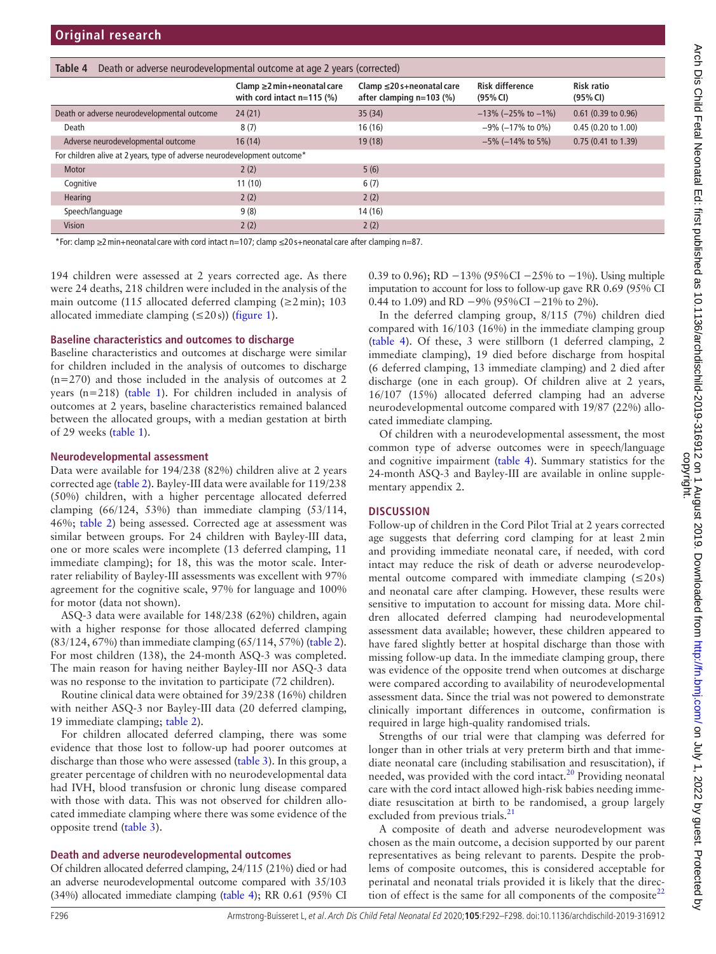<span id="page-4-0"></span>

| Death or adverse neurodevelopmental outcome at age 2 years (corrected)<br>Table 4 |                                                            |                                                         |                                    |                               |  |
|-----------------------------------------------------------------------------------|------------------------------------------------------------|---------------------------------------------------------|------------------------------------|-------------------------------|--|
|                                                                                   | Clamp ≥2 min+neonatal care<br>with cord intact $n=115$ (%) | Clamp ≤20 s+neonatal care<br>after clamping $n=103$ (%) | <b>Risk difference</b><br>(95% CI) | <b>Risk ratio</b><br>(95% CI) |  |
| Death or adverse neurodevelopmental outcome                                       | 24(21)                                                     | 35(34)                                                  | $-13\%$ (-25% to -1%)              | 0.61 (0.39 to 0.96)           |  |
| Death                                                                             | 8(7)                                                       | 16 (16)                                                 | $-9\%$ ( $-17\%$ to 0%)            | $0.45(0.20 \text{ to } 1.00)$ |  |
| Adverse neurodevelopmental outcome                                                | 16(14)                                                     | 19(18)                                                  | $-5\%$ ( $-14\%$ to 5%)            | 0.75 (0.41 to 1.39)           |  |
| For children alive at 2 years, type of adverse neurodevelopment outcome*          |                                                            |                                                         |                                    |                               |  |
| Motor                                                                             | 2(2)                                                       | 5(6)                                                    |                                    |                               |  |
| Cognitive                                                                         | 11(10)                                                     | 6(7)                                                    |                                    |                               |  |
| Hearing                                                                           | 2(2)                                                       | 2(2)                                                    |                                    |                               |  |
| Speech/language                                                                   | 9(8)                                                       | 14 (16)                                                 |                                    |                               |  |
| <b>Vision</b>                                                                     | 2(2)                                                       | 2(2)                                                    |                                    |                               |  |

\*For: clamp ≥2min+neonatalcare with cord intact n=107; clamp ≤20 s+neonatalcare after clamping n=87.

194 children were assessed at 2 years corrected age. As there were 24 deaths, 218 children were included in the analysis of the main outcome (115 allocated deferred clamping  $(\geq 2 \text{ min})$ ; 103 allocated immediate clamping  $(\leq 20s)$ ) ([figure](#page-1-0) 1).

#### **Baseline characteristics and outcomes to discharge**

Baseline characteristics and outcomes at discharge were similar for children included in the analysis of outcomes to discharge  $(n=270)$  and those included in the analysis of outcomes at 2 years (n=218) ([table](#page-2-0) 1). For children included in analysis of outcomes at 2 years, baseline characteristics remained balanced between the allocated groups, with a median gestation at birth of 29 weeks ([table](#page-2-0) 1).

#### **Neurodevelopmental assessment**

Data were available for 194/238 (82%) children alive at 2 years corrected age ([table](#page-3-0) 2). Bayley-III data were available for 119/238 (50%) children, with a higher percentage allocated deferred clamping (66/124, 53%) than immediate clamping (53/114, 46%; [table](#page-3-0) 2) being assessed. Corrected age at assessment was similar between groups. For 24 children with Bayley-III data, one or more scales were incomplete (13 deferred clamping, 11 immediate clamping); for 18, this was the motor scale. Interrater reliability of Bayley-III assessments was excellent with 97% agreement for the cognitive scale, 97% for language and 100% for motor (data not shown).

ASQ-3 data were available for 148/238 (62%) children, again with a higher response for those allocated deferred clamping (83/124, 67%) than immediate clamping (65/114, 57%) ([table](#page-3-0) 2). For most children (138), the 24-month ASQ-3 was completed. The main reason for having neither Bayley-III nor ASQ-3 data was no response to the invitation to participate (72 children).

Routine clinical data were obtained for 39/238 (16%) children with neither ASQ-3 nor Bayley-III data (20 deferred clamping, 19 immediate clamping; [table](#page-3-0) 2).

For children allocated deferred clamping, there was some evidence that those lost to follow-up had poorer outcomes at discharge than those who were assessed ([table](#page-3-1) 3). In this group, a greater percentage of children with no neurodevelopmental data had IVH, blood transfusion or chronic lung disease compared with those with data. This was not observed for children allocated immediate clamping where there was some evidence of the opposite trend ([table](#page-3-1) 3).

#### **Death and adverse neurodevelopmental outcomes**

Of children allocated deferred clamping, 24/115 (21%) died or had an adverse neurodevelopmental outcome compared with 35/103 (34%) allocated immediate clamping [\(table](#page-4-0) 4); RR 0.61 (95% CI 0.39 to 0.96); RD −13% (95%CI −25% to −1%). Using multiple imputation to account for loss to follow-up gave RR 0.69 (95% CI 0.44 to 1.09) and RD −9% (95%CI −21% to 2%).

In the deferred clamping group, 8/115 (7%) children died compared with 16/103 (16%) in the immediate clamping group ([table](#page-4-0) 4). Of these, 3 were stillborn (1 deferred clamping, 2 immediate clamping), 19 died before discharge from hospital (6 deferred clamping, 13 immediate clamping) and 2 died after discharge (one in each group). Of children alive at 2 years, 16/107 (15%) allocated deferred clamping had an adverse neurodevelopmental outcome compared with 19/87 (22%) allocated immediate clamping.

Of children with a neurodevelopmental assessment, the most common type of adverse outcomes were in speech/language and cognitive impairment [\(table](#page-4-0) 4). Summary statistics for the 24-month ASQ-3 and Bayley-III are available in online [supple](https://dx.doi.org/10.1136/archdischild-2019-316912)[mentary appendix 2](https://dx.doi.org/10.1136/archdischild-2019-316912).

#### **Discussion**

Follow-up of children in the Cord Pilot Trial at 2 years corrected age suggests that deferring cord clamping for at least 2min and providing immediate neonatal care, if needed, with cord intact may reduce the risk of death or adverse neurodevelopmental outcome compared with immediate clamping  $(\leq 20s)$ and neonatal care after clamping. However, these results were sensitive to imputation to account for missing data. More children allocated deferred clamping had neurodevelopmental assessment data available; however, these children appeared to have fared slightly better at hospital discharge than those with missing follow-up data. In the immediate clamping group, there was evidence of the opposite trend when outcomes at discharge were compared according to availability of neurodevelopmental assessment data. Since the trial was not powered to demonstrate clinically important differences in outcome, confirmation is required in large high-quality randomised trials.

Strengths of our trial were that clamping was deferred for longer than in other trials at very preterm birth and that immediate neonatal care (including stabilisation and resuscitation), if needed, was provided with the cord intact[.20](#page-5-14) Providing neonatal care with the cord intact allowed high-risk babies needing immediate resuscitation at birth to be randomised, a group largely excluded from previous trials.<sup>[21](#page-6-0)</sup>

A composite of death and adverse neurodevelopment was chosen as the main outcome, a decision supported by our parent representatives as being relevant to parents. Despite the problems of composite outcomes, this is considered acceptable for perinatal and neonatal trials provided it is likely that the direction of effect is the same for all components of the composite $^{22}$  $^{22}$  $^{22}$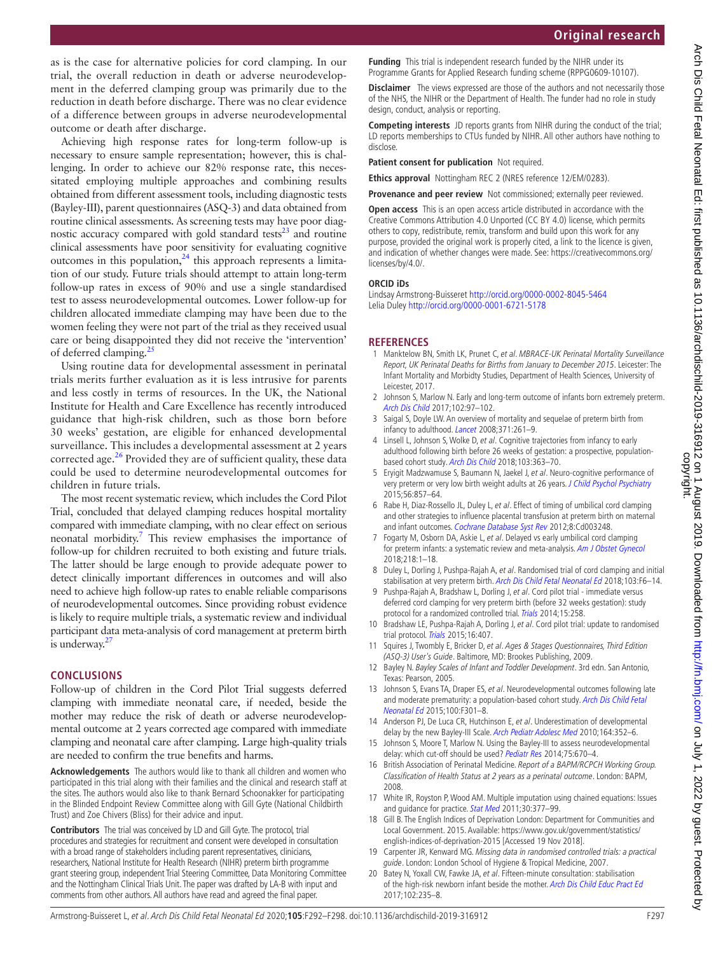as is the case for alternative policies for cord clamping. In our trial, the overall reduction in death or adverse neurodevelopment in the deferred clamping group was primarily due to the reduction in death before discharge. There was no clear evidence of a difference between groups in adverse neurodevelopmental outcome or death after discharge.

Achieving high response rates for long-term follow-up is necessary to ensure sample representation; however, this is challenging. In order to achieve our 82% response rate, this necessitated employing multiple approaches and combining results obtained from different assessment tools, including diagnostic tests (Bayley-III), parent questionnaires (ASQ-3) and data obtained from routine clinical assessments. As screening tests may have poor diagnostic accuracy compared with gold standard tests<sup>23</sup> and routine clinical assessments have poor sensitivity for evaluating cognitive outcomes in this population, $24$  this approach represents a limitation of our study. Future trials should attempt to attain long-term follow-up rates in excess of 90% and use a single standardised test to assess neurodevelopmental outcomes. Lower follow-up for children allocated immediate clamping may have been due to the women feeling they were not part of the trial as they received usual care or being disappointed they did not receive the 'intervention' of deferred clamping. $^{25}$ 

Using routine data for developmental assessment in perinatal trials merits further evaluation as it is less intrusive for parents and less costly in terms of resources. In the UK, the National Institute for Health and Care Excellence has recently introduced guidance that high-risk children, such as those born before 30 weeks' gestation, are eligible for enhanced developmental surveillance. This includes a developmental assessment at 2 years corrected age.<sup>[26](#page-6-5)</sup> Provided they are of sufficient quality, these data could be used to determine neurodevelopmental outcomes for children in future trials.

The most recent systematic review, which includes the Cord Pilot Trial, concluded that delayed clamping reduces hospital mortality compared with immediate clamping, with no clear effect on serious neonatal morbidity.<sup>[7](#page-5-15)</sup> This review emphasises the importance of follow-up for children recruited to both existing and future trials. The latter should be large enough to provide adequate power to detect clinically important differences in outcomes and will also need to achieve high follow-up rates to enable reliable comparisons of neurodevelopmental outcomes. Since providing robust evidence is likely to require multiple trials, a systematic review and individual participant data meta-analysis of cord management at preterm birth is underway.<sup>27</sup>

# **Conclusions**

Follow-up of children in the Cord Pilot Trial suggests deferred clamping with immediate neonatal care, if needed, beside the mother may reduce the risk of death or adverse neurodevelopmental outcome at 2 years corrected age compared with immediate clamping and neonatal care after clamping. Large high-quality trials are needed to confirm the true benefits and harms.

**Acknowledgements** The authors would like to thank all children and women who participated in this trial along with their families and the clinical and research staff at the sites. The authors would also like to thank Bernard Schoonakker for participating in the Blinded Endpoint Review Committee along with Gill Gyte (National Childbirth Trust) and Zoe Chivers (Bliss) for their advice and input.

**Contributors** The trial was conceived by LD and Gill Gyte. The protocol, trial procedures and strategies for recruitment and consent were developed in consultation with a broad range of stakeholders including parent representatives, clinicians, researchers, National Institute for Health Research (NIHR) preterm birth programme grant steering group, independent Trial Steering Committee, Data Monitoring Committee and the Nottingham Clinical Trials Unit. The paper was drafted by LA-B with input and comments from other authors. All authors have read and agreed the final paper.

**Funding** This trial is independent research funded by the NIHR under its Programme Grants for Applied Research funding scheme (RPPG0609-10107).

**Disclaimer** The views expressed are those of the authors and not necessarily those of the NHS, the NIHR or the Department of Health. The funder had no role in study design, conduct, analysis or reporting.

**Competing interests** JD reports grants from NIHR during the conduct of the trial; LD reports memberships to CTUs funded by NIHR. All other authors have nothing to disclose.

**Patient consent for publication** Not required.

**Ethics approval** Nottingham REC 2 (NRES reference 12/EM/0283).

**Provenance and peer review** Not commissioned; externally peer reviewed.

**Open access** This is an open access article distributed in accordance with the Creative Commons Attribution 4.0 Unported (CC BY 4.0) license, which permits others to copy, redistribute, remix, transform and build upon this work for any purpose, provided the original work is properly cited, a link to the licence is given, and indication of whether changes were made. See: [https://creativecommons.org/](https://creativecommons.org/licenses/by/4.0/) [licenses/by/4.0/.](https://creativecommons.org/licenses/by/4.0/)

## **ORCID iDs**

Lindsay Armstrong-Buisseret <http://orcid.org/0000-0002-8045-5464> Lelia Duley<http://orcid.org/0000-0001-6721-5178>

## **References**

- <span id="page-5-0"></span>1 Manktelow BN, Smith LK, Prunet C, et al. MBRACE-UK Perinatal Mortality Surveillance Report, UK Perinatal Deaths for Births from January to December 2015. Leicester: The Infant Mortality and Morbidty Studies, Department of Health Sciences, University of Leicester, 2017.
- <span id="page-5-1"></span>2 Johnson S, Marlow N. Early and long-term outcome of infants born extremely preterm. [Arch Dis Child](http://dx.doi.org/10.1136/archdischild-2015-309581) 2017;102:97–102.
- 3 Saigal S, Doyle LW. An overview of mortality and sequelae of preterm birth from infancy to adulthood. [Lancet](http://dx.doi.org/10.1016/S0140-6736(08)60136-1) 2008;371:261–9.
- <span id="page-5-2"></span>4 Linsell L, Johnson S, Wolke D, et al. Cognitive trajectories from infancy to early adulthood following birth before 26 weeks of gestation: a prospective, populationbased cohort study. [Arch Dis Child](http://dx.doi.org/10.1136/archdischild-2017-313414) 2018;103:363–70.
- 5 Eryigit Madzwamuse S, Baumann N, Jaekel J, et al. Neuro-cognitive performance of very preterm or very low birth weight adults at 26 years. [J Child Psychol Psychiatry](http://dx.doi.org/10.1111/jcpp.12358) 2015;56:857–64.
- <span id="page-5-3"></span>6 Rabe H, Diaz-Rossello JL, Duley L, et al. Effect of timing of umbilical cord clamping and other strategies to influence placental transfusion at preterm birth on maternal and infant outcomes. [Cochrane Database Syst Rev](http://dx.doi.org/10.1002/14651858.CD003248.pub3) 2012;8:Cd003248.
- <span id="page-5-15"></span>7 Fogarty M, Osborn DA, Askie L, et al. Delayed vs early umbilical cord clamping for preterm infants: a systematic review and meta-analysis. [Am J Obstet Gynecol](http://dx.doi.org/10.1016/j.ajog.2017.10.231) 2018;218:1–18.
- <span id="page-5-4"></span>8 Duley L, Dorling J, Pushpa-Rajah A, et al. Randomised trial of cord clamping and initial stabilisation at very preterm birth. [Arch Dis Child Fetal Neonatal Ed](http://dx.doi.org/10.1136/archdischild-2016-312567) 2018;103:F6-14.
- <span id="page-5-5"></span>9 Pushpa-Rajah A, Bradshaw L, Dorling J, et al. Cord pilot trial - immediate versus deferred cord clamping for very preterm birth (before 32 weeks gestation): study protocol for a randomized controlled trial. [Trials](http://dx.doi.org/10.1186/1745-6215-15-258) 2014;15:258.
- 10 Bradshaw LE, Pushpa-Rajah A, Dorling J, et al. Cord pilot trial: update to randomised trial protocol. [Trials](http://dx.doi.org/10.1186/s13063-015-0936-2) 2015;16:407.
- <span id="page-5-6"></span>11 Squires J, Twombly E, Bricker D, et al. Ages & Stages Questionnaires, Third Edition (ASQ-3) User's Guide. Baltimore, MD: Brookes Publishing, 2009.
- <span id="page-5-7"></span>12 Bayley N. Bayley Scales of Infant and Toddler Development. 3rd edn. San Antonio, Texas: Pearson, 2005.
- <span id="page-5-8"></span>13 Johnson S, Evans TA, Draper ES, et al. Neurodevelopmental outcomes following late and moderate prematurity: a population-based cohort study. Arch Dis Child Fetal [Neonatal Ed](http://dx.doi.org/10.1136/archdischild-2014-307684) 2015;100:F301–8.
- <span id="page-5-9"></span>14 Anderson PJ, De Luca CR, Hutchinson E, et al. Underestimation of developmental delay by the new Bayley-III Scale. [Arch Pediatr Adolesc Med](http://dx.doi.org/10.1001/archpediatrics.2010.20) 2010;164:352-6.
- Johnson S, Moore T, Marlow N. Using the Bayley-III to assess neurodevelopmental delay: which cut-off should be used? [Pediatr Res](http://dx.doi.org/10.1038/pr.2014.10) 2014;75:670–4.
- <span id="page-5-10"></span>16 British Association of Perinatal Medicine. Report of a BAPM/RCPCH Working Group. Classification of Health Status at 2 years as a perinatal outcome. London: BAPM, 2008.
- <span id="page-5-11"></span>17 White IR, Royston P, Wood AM. Multiple imputation using chained equations: Issues and guidance for practice. [Stat Med](http://dx.doi.org/10.1002/sim.4067) 2011:30:377-99.
- <span id="page-5-12"></span>18 Gill B. The English Indices of Deprivation London: Department for Communities and Local Government. 2015. Available: [https://www.gov.uk/government/statistics/](https://www.gov.uk/government/statistics/english-indices-of-deprivation-2015) [english-indices-of-deprivation-2015](https://www.gov.uk/government/statistics/english-indices-of-deprivation-2015) [Accessed 19 Nov 2018].
- <span id="page-5-13"></span>19 Carpenter JR, Kenward MG. Missing data in randomised controlled trials: a practical guide. London: London School of Hygiene & Tropical Medicine, 2007.
- <span id="page-5-14"></span>20 Batey N, Yoxall CW, Fawke JA, et al. Fifteen-minute consultation: stabilisation of the high-risk newborn infant beside the mother. [Arch Dis Child Educ Pract Ed](http://dx.doi.org/10.1136/archdischild-2016-312276) 2017;102:235–8.